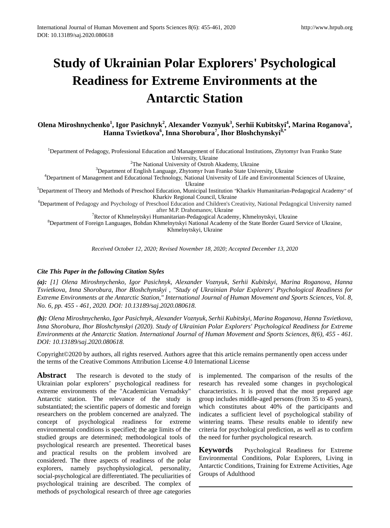# **Study of Ukrainian Polar Explorers' Psychological Readiness for Extreme Environments at the Antarctic Station**

**Olena Miroshnychenko<sup>1</sup> , Igor Pasichnyk<sup>2</sup> , Alexander Voznyuk<sup>3</sup> , Serhii Kubitskyi<sup>4</sup> , Marina Roganova5 , Hanna Tsvietkova6 , Inna Shorobura<sup>7</sup> , Ihor Bloshchynskyi8,\***

<sup>1</sup>Department of Pedagogy, Professional Education and Management of Educational Institutions, Zhytomyr Ivan Franko State University, Ukraine<br><sup>2</sup>The National University of Ostroh Akademy, Ukraine

 $3$ Department of English Language, Zhytomyr Ivan Franko State University, Ukraine

<sup>3</sup>Department of English Language, Zhytomyr Ivan Franko State University, Ukraine و <sup>4</sup>Department of Management and Educational Technology, National University of Life and Environmental Sciences of Ukraine,

Ukraine 5 Department of Theory and Methods of Preschool Education, Municipal Institution *"*Kharkiv Humanitarian-Pedagogical Academy*"* of

Kharkiv Regional Council, Ukraine<br><sup>6</sup>Department of Pedagogy and Psychology of Preschool Education and Children's Creativity, National Pedagogical University named after M.P. Drahomanov, Ukraine<br><sup>7</sup> Bector of Khmelnytskyj Humanitarian, Pedagogical Academ

 $\degree$ Rector of Khmelnytskyi Humanitarian-Pedagogical Academy, Khmelnytskyi, Ukraine 8<br>Spenartment of Foreign Languages, Bobdan Khmelnytskyi National Academy of the State Border Guard

<sup>8</sup>Department of Foreign Languages, Bohdan Khmelnytskyi National Academy of the State Border Guard Service of Ukraine, Khmelnytskyi, Ukraine

*Received October 12, 2020; Revised November 18, 2020; Accepted December 13, 2020*

## *Cite This Paper in the following Citation Styles*

*(a): [1] Olena Miroshnychenko, Igor Pasichnyk, Alexander Voznyuk, Serhii Kubitskyi, Marina Roganova, Hanna Tsvietkova, Inna Shorobura, Ihor Bloshchynskyi , "Study of Ukrainian Polar Explorers' Psychological Readiness for Extreme Environments at the Antarctic Station," International Journal of Human Movement and Sports Sciences, Vol. 8, No. 6, pp. 455 - 461, 2020. DOI: 10.13189/saj.2020.080618.* 

*(b): Olena Miroshnychenko, Igor Pasichnyk, Alexander Voznyuk, Serhii Kubitskyi, Marina Roganova, Hanna Tsvietkova, Inna Shorobura, Ihor Bloshchynskyi (2020). Study of Ukrainian Polar Explorers' Psychological Readiness for Extreme Environments at the Antarctic Station. International Journal of Human Movement and Sports Sciences, 8(6), 455 - 461. DOI: 10.13189/saj.2020.080618.* 

Copyright©2020 by authors, all rights reserved. Authors agree that this article remains permanently open access under the terms of the Creative Commons Attribution License 4.0 International License

Abstract The research is devoted to the study of Ukrainian polar explorers' psychological readiness for extreme environments of the "Academician Vernadsky" Antarctic station. The relevance of the study is substantiated; the scientific papers of domestic and foreign researchers on the problem concerned are analyzed. The concept of psychological readiness for extreme environmental conditions is specified; the age limits of the studied groups are determined; methodological tools of psychological research are presented. Theoretical bases and practical results on the problem involved are considered. The three aspects of readiness of the polar explorers, namely psychophysiological, personality, social-psychological are differentiated. The peculiarities of psychological training are described. The complex of methods of psychological research of three age categories

is implemented. The comparison of the results of the research has revealed some changes in psychological characteristics. It is proved that the most prepared age group includes middle-aged persons (from 35 to 45 years), which constitutes about 40% of the participants and indicates a sufficient level of psychological stability of wintering teams. These results enable to identify new criteria for psychological prediction, as well as to confirm the need for further psychological research.

**Keywords** Psychological Readiness for Extreme Environmental Conditions, Polar Explorers, Living in Antarctic Conditions, Training for Extreme Activities, Age Groups of Adulthood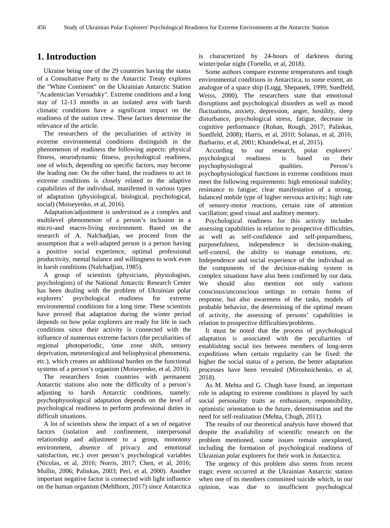# **1. Introduction**

Ukraine being one of the 29 countries having the status of a Consultative Party to the Antarctic Treaty explores the "White Continent" on the Ukrainian Antarctic Station "Academician Vernadsky". Extreme conditions and a long stay of 12-13 months in an isolated area with harsh climatic conditions have a significant impact on the readiness of the station crew. These factors determine the relevance of the article.

The researchers of the peculiarities of activity in extreme environmental conditions distinguish in the phenomenon of readiness the following aspects: physical fitness, neurodynamic fitness, psychological readiness, one of which, depending on specific factors, may become the leading one. On the other hand, the readiness to act in extreme conditions is closely related to the adaptive capabilities of the individual, manifested in various types of adaptation (physiological, biological, psychological, social) (Moiseyenko, et al, 2016).

Adaptation/adjustment is understood as a complex and multilevel phenomenon of a person's inclusion in a micro-and macro-living environment. Based on the research of A. Nalchadjian, we proceed from the assumption that a well-adapted person is a person having a positive social experience, optimal professional productivity, mental balance and willingness to work even in harsh conditions (Nalchadjian, 1985).

A group of scientists (physicians, physiologists, psychologists) of the National Antarctic Research Center has been dealing with the problem of Ukrainian polar explorers' psychological readiness for extreme environmental conditions for a long time. These scientists have proved that adaptation during the winter period depends on how polar explorers are ready for life in such conditions since their activity is connected with the influence of numerous extreme factors (the peculiarities of regional photoperiodic, time zone shift, sensory deprivation, meteorological and heliophysical phenomena, etc.), which creates an additional burden on the functional systems of a person's organism (Moiseyenko, et al, 2016).

The researchers from countries with permanent Antarctic stations also note the difficulty of a person's adjusting to harsh Antarctic conditions, namely: psychophysiological adaptation depends on the level of psychological readiness to perform professional duties in difficult situations.

A lot of scientists show the impact of a set of negative factors (isolation and confinement, interpersonal relationship and adjustment to a group, monotony environment, absence of privacy and emotional satisfaction, etc.) over person's psychological variables (Nicolas, et al, 2016; Norris, 2017; Chen, et al, 2016; Mullin, 2006; Palinkas, 2003; Peri, et al, 2000). Another important negative factor is connected with light influence on the human organism (Mehlhorn, 2017) since Antarctica

is characterized by 24-hours of darkness during winter/polar night (Tortello, et al, 2018).

Some authors compare extreme temperatures and tough environmental conditions in Antarctica, to some extent, an analogue of a space ship (Lugg, Shepanek, 1999; Suedfeld, Weiss, 2000). The researchers state that emotional disruptions and psychological disorders as well as mood fluctuations, anxiety, depression, anger, hostility, sleep disturbance, psychological stress, fatigue, decrease in cognitive performance (Rohan, Rough, 2017; Palinkas, Suedfeld, 2008); Harris, et al, 2010; Solanas, et al, 2016; Barbarito, et al, 2001; Khandelwal, et al, 2015).

According to our research, polar explorers' psychological readiness is based on their psychophysiological qualities. Person's psychophysiological functions in extreme conditions must meet the following requirements: high emotional stability; resistance to fatigue; clear manifestation of a strong, balanced mobile type of higher nervous activity; high rate of sensory-motor reactions, certain rate of attention vacillation; good visual and auditory memory.

Psychological readiness for this activity includes assessing capabilities in relation to prospective difficulties, as well as self-confidence and self-preparedness, purposefulness, independence in decision-making, self-control, the ability to manage emotions, etc. Independence and social experience of the individual as the components of the decision-making system in complex situations have also been confirmed by our data. We should also mention not only various conscious/unconscious settings to certain forms of response, but also awareness of the tasks, models of probable behavior, the determining of the optimal means of activity, the assessing of persons' capabilities in relation to prospective difficulties/problems.

It must be noted that the process of psychological adaptation is associated with the peculiarities of establishing social ties between members of long-term expeditions when certain regularity can be fixed: the higher the social status of a person, the better adaptation processes have been revealed (Miroshnichenko, et al, 2018).

As M. Mehta and G. Chugh have found, an important role in adapting to extreme conditions is played by such social personality traits as enthusiasm, responsibility, optimistic orientation to the future, determination and the need for self-realization (Mehta, Chugh, 2011).

The results of our theoretical analysis have showed that despite the availability of scientific research on the problem mentioned, some issues remain unexplored, including the formation of psychological readiness of Ukrainian polar explorers for their work in Antarctica.

The urgency of this problem also stems from recent tragic event occurred at the Ukrainian Antarctic station when one of its members committed suicide which, in our opinion, was due to insufficient psychological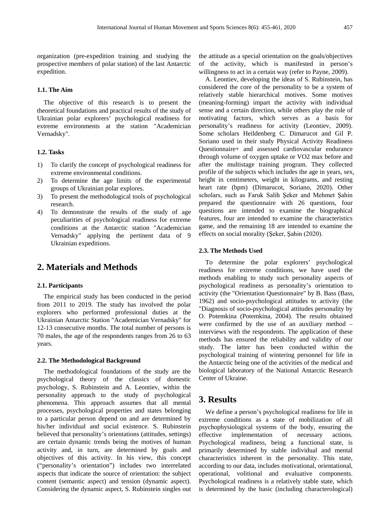organization (pre-expedition training and studying the prospective members of polar station) of the last Antarctic expedition.

### **1.1. The Aim**

The objective of this research is to present the theoretical foundations and practical results of the study of Ukrainian polar explorers' psychological readiness for extreme environments at the station "Academician Vernadsky".

#### **1.2. Tasks**

- 1) To clarify the concept of psychological readiness for extreme environmental conditions.
- 2) To determine the age limits of the experimental groups of Ukrainian polar explores.
- 3) To present the methodological tools of psychological research.
- 4) To demonstrate the results of the study of age peculiarities of psychological readiness for extreme conditions at the Antarctic station "Academician Vernadsky" applying the pertinent data of 9 Ukrainian expeditions.

# **2. Materials and Methods**

#### **2.1. Participants**

The empirical study has been conducted in the period from 2011 to 2019. The study has involved the polar explorers who performed professional duties at the Ukrainian Antarctic Station "Academician Vernadsky" for 12-13 consecutive months. The total number of persons is 70 males, the age of the respondents ranges from 26 to 63 years.

#### **2.2. The Methodological Background**

The methodological foundations of the study are the psychological theory of the classics of domestic psychology, S. Rubinstein and A. Leontiev, within the personality approach to the study of psychological phenomena. This approach assumes that all mental processes, psychological properties and states belonging to a particular person depend on and are determined by his/her individual and social existence. S. Rubinstein believed that personality's orientations (attitudes, settings) are certain dynamic trends being the motives of human activity and, in turn, are determined by goals and objectives of this activity. In his view, this concept ("personality's orientation") includes two interrelated aspects that indicate the source of orientation: the subject content (semantic aspect) and tension (dynamic aspect). Considering the dynamic aspect, S. Rubinstein singles out the attitude as a special orientation on the goals/objectives of the activity, which is manifested in person's willingness to act in a certain way (refer to Payne, 2009).

A. Leontiev, developing the ideas of S. Rubinstein, has considered the core of the personality to be a system of relatively stable hierarchical motives. Some motives (meaning-forming) impart the activity with individual sense and a certain direction, while others play the role of motivating factors, which serves as a basis for personality's readiness for activity (Leontiev, 2009). Some scholars Heildenberg C. Dimarucot and Gil P. Soriano used in their study Physical Activity Readiness Questionnaire+ and assessed cardiovascular endurance through volume of oxygen uptake or VO2 max before and after the multistage training program. They collected profile of the subjects which includes the age in years, sex, height in centimeters, weight in kilograms, and resting heart rate (bpm) (Dimarucot, Soriano, 2020). Other scholars, such as Faruk Salih Şeker and Mehmet Şahin prepared the questionnaire with 26 questions, four questions are intended to examine the biographical features, four are intended to examine the characteristics game, and the remaining 18 are intended to examine the effects on social morality (Şeker, Şahin (2020).

#### **2.3. The Methods Used**

To determine the polar explorers' psychological readiness for extreme conditions, we have used the methods enabling to study such personality aspects of psychological readiness as personality's orientation to activity (the "Orientation Questionnaire" by B. Bass (Bass, 1962) and socio-psychological attitudes to activity (the "Diagnosis of socio-psychological attitudes personality by O. Potemkina (Potemkina, 2004). The results obtained were confirmed by the use of an auxiliary method – interviews with the respondents. The application of these methods has ensured the reliability and validity of our study. The latter has been conducted within the psychological training of wintering personnel for life in the Antarctic being one of the activities of the medical and biological laboratory of the National Antarctic Research Center of Ukraine.

# **3. Results**

We define a person's psychological readiness for life in extreme conditions as a state of mobilization of all psychophysiological systems of the body, ensuring the effective implementation of necessary actions. Psychological readiness, being a functional state, is primarily determined by stable individual and mental characteristics inherent in the personality. This state, according to our data, includes motivational, orientational, operational, volitional and evaluative components. Psychological readiness is a relatively stable state, which is determined by the basic (including characterological)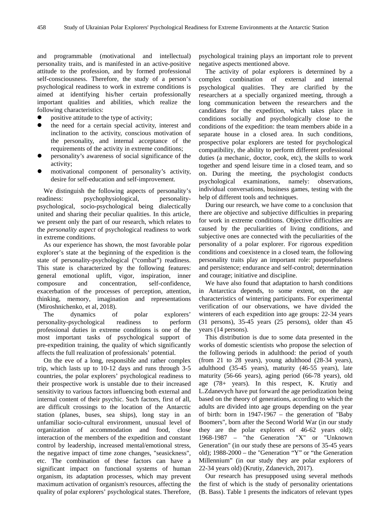and programmable (motivational and intellectual) personality traits, and is manifested in an active-positive attitude to the profession, and by formed professional self-consciousness. Therefore, the study of a person's psychological readiness to work in extreme conditions is aimed at identifying his/her certain professionally important qualities and abilities, which realize the following characteristics:

- positive attitude to the type of activity;
- the need for a certain special activity, interest and inclination to the activity, conscious motivation of the personality, and internal acceptance of the requirements of the activity in extreme conditions;
- personality's awareness of social significance of the activity;
- motivational component of personality's activity, desire for self-education and self-improvement.

We distinguish the following aspects of personality's readiness: psychophysiological, personalitypsychological, socio-psychological being dialectically united and sharing their peculiar qualities. In this article, we present only the part of our research, which relates to the *personality aspect* of psychological readiness to work in extreme conditions.

As our experience has shown, the most favorable polar explorer's state at the beginning of the expedition is the state of personality-psychological ("combat") readiness. This state is characterized by the following features: general emotional uplift, vigor, inspiration, inner composure and concentration, self-confidence, exacerbation of the processes of perception, attention, thinking, memory, imagination and representations (Miroshnichenko, et al, 2018).

The dynamics of polar explorers' personality-psychological readiness to perform professional duties in extreme conditions is one of the most important tasks of psychological support of pre-expedition training, the quality of which significantly affects the full realization of professionals' potential.

On the eve of a long, responsible and rather complex trip, which lasts up to 10-12 days and runs through 3-5 countries, the polar explorers' psychological readiness to their prospective work is unstable due to their increased sensitivity to various factors influencing both external and internal content of their psychic. Such factors, first of all, are difficult crossings to the location of the Antarctic station (planes, buses, sea ships), long stay in an unfamiliar socio-cultural environment, unusual level of organization of accommodation and food, close interaction of the members of the expedition and constant control by leadership, increased mental/emotional stress, the negative impact of time zone changes, "seasickness", etc. The combination of these factors can have a significant impact on functional systems of human organism, its adaptation processes, which may prevent maximum activation of organism's resources, affecting the quality of polar explorers' psychological states. Therefore, psychological training plays an important role to prevent negative aspects mentioned above.

The activity of polar explorers is determined by a complex combination of external and internal psychological qualities. They are clarified by the researchers at a specially organized meeting, through a long communication between the researchers and the candidates for the expedition, which takes place in conditions socially and psychologically close to the conditions of the expedition: the team members abide in a separate house in a closed area. In such conditions, prospective polar explorers are tested for psychological compatibility, the ability to perform different professional duties (a mechanic, doctor, cook, etc), the skills to work together and spend leisure time in a closed team, and so on. During the meeting, the psychologist conducts psychological examinations, namely: observations, individual conversations, business games, testing with the help of different tools and techniques.

During our research, we have come to a conclusion that there are objective and subjective difficulties in preparing for work in extreme conditions. Objective difficulties are caused by the peculiarities of living conditions, and subjective ones are connected with the peculiarities of the personality of a polar explorer. For rigorous expedition conditions and coexistence in a closed team, the following personality traits play an important role: purposefulness and persistence; endurance and self-control; determination and courage; initiative and discipline.

We have also found that adaptation to harsh conditions in Antarctica depends, to some extent, on the age characteristics of wintering participants. For experimental verification of our observations, we have divided the winterers of each expedition into age groups: 22-34 years (31 persons), 35-45 years (25 persons), older than 45 years (14 persons).

This distribution is due to some data presented in the works of domestic scientists who propose the selection of the following periods in adulthood: the period of youth (from 21 to 28 years), young adulthood (28-34 years), adulthood (35-45 years), maturity (46-55 years), late maturity (56-66 years), aging period (66-78 years), old age (78+ years). In this respect, K. Krutiy and L.Zdanevych have put forward the age periodization being based on the theory of generations, according to which the adults are divided into age groups depending on the year of birth: born in 1947-1967 – the generation of "Baby Boomers", born after the Second World War (in our study they are the polar explorers of 46-62 years old); 1968-1987 – "the Generation "X" or "Unknown Generation" (in our study these are persons of 35-45 years old); 1988-2000 – the "Generation "Y" or "the Generation Millennium" (in our study they are polar explorers of 22-34 years old) (Krutiy, Zdanevich, 2017).

Our research has presupposed using several methods the first of which is the study of personality orientations (B. Bass). Table 1 presents the indicators of relevant types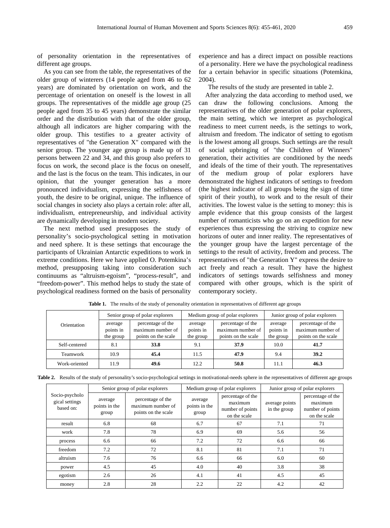of personality orientation in the representatives of different age groups.

As you can see from the table, the representatives of the older group of winterers (14 people aged from 46 to 62 years) are dominated by orientation on work, and the percentage of orientation on oneself is the lowest in all groups. The representatives of the middle age group (25 people aged from 35 to 45 years) demonstrate the similar order and the distribution with that of the older group, although all indicators are higher comparing with the older group. This testifies to a greater activity of representatives of "the Generation X" compared with the senior group. The younger age group is made up of 31 persons between 22 and 34, and this group also prefers to focus on work, the second place is the focus on oneself, and the last is the focus on the team. This indicates, in our opinion, that the younger generation has a more pronounced individualism, expressing the selfishness of youth, the desire to be original, unique. The influence of social changes in society also plays a certain role: after all, individualism, entrepreneurship, and individual activity are dynamically developing in modern society.

The next method used presupposes the study of personality's socio-psychological setting in motivation and need sphere. It is these settings that encourage the participants of Ukrainian Antarctic expeditions to work in extreme conditions. Here we have applied O. Potemkina's method, presupposing taking into consideration such continuums as "altruism-egoism", "process-result", and "freedom-power". This method helps to study the state of psychological readiness formed on the basis of personality

experience and has a direct impact on possible reactions of a personality. Here we have the psychological readiness for a certain behavior in specific situations (Potemkina, 2004).

The results of the study are presented in table 2.

After analyzing the data according to method used, we can draw the following conclusions. Among the representatives of the older generation of polar explorers, the main setting, which we interpret as psychological readiness to meet current needs, is the settings to work, altruism and freedom. The indicator of setting to egotism is the lowest among all groups. Such settings are the result of social upbringing of "the Children of Winners" generation, their activities are conditioned by the needs and ideals of the time of their youth. The representatives of the medium group of polar explorers have demonstrated the highest indicators of settings to freedom (the highest indicator of all groups being the sign of time spirit of their youth), to work and to the result of their activities. The lowest value is the setting to money: this is ample evidence that this group consists of the largest number of romanticists who go on an expedition for new experiences thus expressing the striving to cognize new horizons of outer and inner reality. The representatives of the younger group have the largest percentage of the settings to the result of activity, freedom and process. The representatives of "the Generation Y" express the desire to act freely and reach a result. They have the highest indicators of settings towards selfishness and money compared with other groups, which is the spirit of contemporary society.

| Orientation   | Senior group of polar explorers   |                                                               | Medium group of polar explorers   |                                                               | Junior group of polar explorers   |                                                               |
|---------------|-----------------------------------|---------------------------------------------------------------|-----------------------------------|---------------------------------------------------------------|-----------------------------------|---------------------------------------------------------------|
|               | average<br>points in<br>the group | percentage of the<br>maximum number of<br>points on the scale | average<br>points in<br>the group | percentage of the<br>maximum number of<br>points on the scale | average<br>points in<br>the group | percentage of the<br>maximum number of<br>points on the scale |
| Self-centered | 8.1                               | 33.8                                                          | 9.1                               | 37.9                                                          | 10.0                              | 41.7                                                          |
| Teamwork      | 10.9                              | 45.4                                                          | 11.5                              | 47.9                                                          | 9.4                               | 39.2                                                          |
| Work-oriented | 11.9                              | 49.6                                                          | 12.2                              | 50.8                                                          | 11.1                              | 46.3                                                          |

Table 1. The results of the study of personality orientation in representatives of different age groups

|  |  |  |  |  | Table 2. Results of the study of personality's socio-psychological settings in motivational-needs sphere in the representatives of different age groups |  |  |
|--|--|--|--|--|---------------------------------------------------------------------------------------------------------------------------------------------------------|--|--|
|--|--|--|--|--|---------------------------------------------------------------------------------------------------------------------------------------------------------|--|--|

| Socio-psycholo<br>gical settings<br>based on: |                                   | Senior group of polar explorers                               | Medium group of polar explorers   |                                                                  | Junior group of polar explorers |                                                                  |
|-----------------------------------------------|-----------------------------------|---------------------------------------------------------------|-----------------------------------|------------------------------------------------------------------|---------------------------------|------------------------------------------------------------------|
|                                               | average<br>points in the<br>group | percentage of the<br>maximum number of<br>points on the scale | average<br>points in the<br>group | percentage of the<br>maximum<br>number of points<br>on the scale | average points<br>in the group  | percentage of the<br>maximum<br>number of points<br>on the scale |
| result                                        | 6.8                               | 68                                                            | 6.7                               | 67                                                               | 7.1                             | 71                                                               |
| work                                          | 7.8                               | 78                                                            | 6.9                               | 69                                                               | 5.6                             | 56                                                               |
| process                                       | 6.6                               | 66                                                            | 7.2                               | 72                                                               | 6.6                             | 66                                                               |
| freedom                                       | 7.2                               | 72                                                            | 8.1                               | 81                                                               | 7.1                             | 71                                                               |
| altruism                                      | 7.6                               | 76                                                            | 6.6                               | 66                                                               | 6.0                             | 60                                                               |
| power                                         | 4.5                               | 45                                                            | 4.0                               | 40                                                               | 3.8                             | 38                                                               |
| egotism                                       | 2.6                               | 26                                                            | 4.1                               | 41                                                               | 4.5                             | 45                                                               |
| money                                         | 2.8                               | 28                                                            | 2.2                               | 22                                                               | 4.2                             | 42                                                               |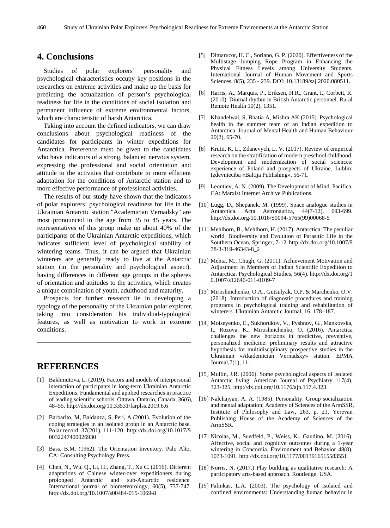# **4. Conclusions**

Studies of polar explorers' personality and psychological characteristics occupy key positions in the researches on extreme activities and make up the basis for predicting the actualization of person's psychological readiness for life in the conditions of social isolation and permanent influence of extreme environmental factors, which are characteristic of harsh Antarctica.

Taking into account the defined indicators, we can draw conclusions about psychological readiness of the candidates for participants in winter expeditions for Antarctica. Preference must be given to the candidates who have indicators of a strong, balanced nervous system, expressing the professional and social orientation and attitude to the activities that contribute to more efficient adaptation for the conditions of Antarctic station and to more effective performance of professional activities.

The results of our study have shown that the indicators of polar explorers' psychological readiness for life in the Ukrainian Antarctic station "Academician Vernadsky" are most pronounced in the age from 35 to 45 years. The representatives of this group make up about 40% of the participants of the Ukrainian Antarctic expeditions, which indicates sufficient level of psychological stability of wintering teams. Thus, it can be argued that Ukrainian winterers are generally ready to live at the Antarctic station (in the personality and psychological aspect), having differences in different age groups in the spheres of orientation and attitudes to the activities, which creates a unique combination of youth, adulthood and maturity.

Prospects for further research lie in developing a typology of the personality of the Ukrainian polar explorer, taking into consideration his individual-typological features, as well as motivation to work in extreme conditions.

# **REFERENCES**

- [1] Bakhmutova, L. (2019). Factors and models of interpersonal interaction of participants in long-term Ukrainian Antarctic Expeditions. Fundamental and applied researches in practice of leading scientific schools. Ottawa, Ontario, Canada, 36(6), 48–55. http://dx.doi.org/10.33531/farplss.2019.6.6
- [2] Barbarito, M, Baldanza, S, Peri, A (2001). Evolution of the coping strategies in an isolated group in an Antarctic base. Polar record, 37(201), 111-120. http://dx.doi.org/10.1017/S 0032247400026930
- [3] Bass, B.M. (1962). The Orientation Inventory. Palo Alto, CA: Consulting Psychology Press.
- [4] Chen, N., Wu, Q., Li, H., Zhang, T., Xu C. (2016). Different adaptations of Chinese winter-over expeditioners during prolonged Antarctic and sub-Antarctic residence. International journal of biometeorology, 60(5), 737-747. <http://dx.doi.org/10.1007/s00484-015-1069-8>
- [5] Dimarucot, H. C., Soriano, G. P. (2020). Effectiveness of the Multistage Jumping Rope Program in Enhancing the Physical Fitness Levels among University Students. International Journal of Human Movement and Sports Sciences, 8(5), 235 - 239. DOI: 10.13189/saj.2020.080511.
- [6] Harris, A., Marquis, P., Eriksen, H.R., Grant, I., Corbett, R. (2010). Diurnal rhythm in British Antarctic personnel. Rural Remote Health 10(2), 1351.
- [7] Khandelwal, S, Bhatia A, Mishra AK (2015). Psychological health in the summer team of an Indian expedition to Antarctica. Journal of Mental Health and Human Behaviour 20(2), 65-70.
- [8] Krutii, K. L., Zdanevych, L. V. (2017). Review of empirical research on the stratification of modern preschool childhood. Development and modernization of social sciences: experience of Poland and prospects of Ukraine. Lublin: Izdevnieciba «Baltija Publishing», 56-71.
- [9] Leontiev, A. N. (2009). The Development of Mind. Pacifica, CA: Marxist Internet Archive Publications.
- [10] Lugg, D., Shepanek, M. (1999). Space analogue studies in Antarctica. Acta Astronautica, 44(7-12), 693-699. http://dx.doi.org/10.1016/S0094-5765(99)00068-5
- [11] Mehlhorn, B., Mehlhorn, H. (2017). Antarctica: The peculiar world. Biodiversity and Evolution of Parasitic Life in the Southern Ocean, Springer, 7-12. http://dx.doi.org/10.1007/9 78-3-319-46343-8\_2
- [12] Mehta, M., Chugh, G. (2011). Achievement Motivation and Adjustment in Members of Indian Scientific Expedition to Antarctica. Psychological Studies, 56(4). http://dx.doi.org/1 0.1007/s12646-011-0109-7
- [13] Miroshnichenko, O.A., Gutsulyak, O.P. & Marchenko, O.V. (2018). Introduction of diagnostic procedures and training programs in psychological training and rehabilitation of winterers. Ukrainian Antarctic Journal, 16, 178–187.
- [14] Moiseyenko, E., Sukhorukov, V., Pyshnov, G., Mankovska, I., Rozova, K., Miroshnichenko, O. (2016). Antarctica challenges the new horizons in predictive, preventive, personalized medicine: preliminary results and attractive hypothesis for multidisciplinary prospective studies in the Ukrainian «Akademician Vernadsky» station. EPMA Journal,7(1), 11.
- [15] Mullin, J.R. (2006). Some psychological aspects of isolated Antarctic living. American Journal of Psychiatry 117(4), 323-325. http://dx.doi.org/10.1176/ajp.117.4.323
- [16] Nalchajyan, A. A. (1985). Personality. Group socialization and mental adaptation; Academy of Sciences of the ArmSSR, Institute of Philosophy and Law, 263, p. 21, Yerevan Publishing House of the Academy of Sciences of the ArmSSR.
- [17] Nicolas, M., Suedfeld, P., Weiss, K., Gaudino, M. (2016). Affective, social and cognitive outcomes during a 1-year wintering in Concordia. Environment and Behavior 48(8), 1073-1091. http://dx.doi.org/10.1177/0013916515583551
- [18] Norris, N. (2017.) Play building as qualitative research: A participatory arts-based approach. Routledge, USA.
- [19] Palinkas, L.A. (2003). The psychology of isolated and confined environments: Understanding human behavior in